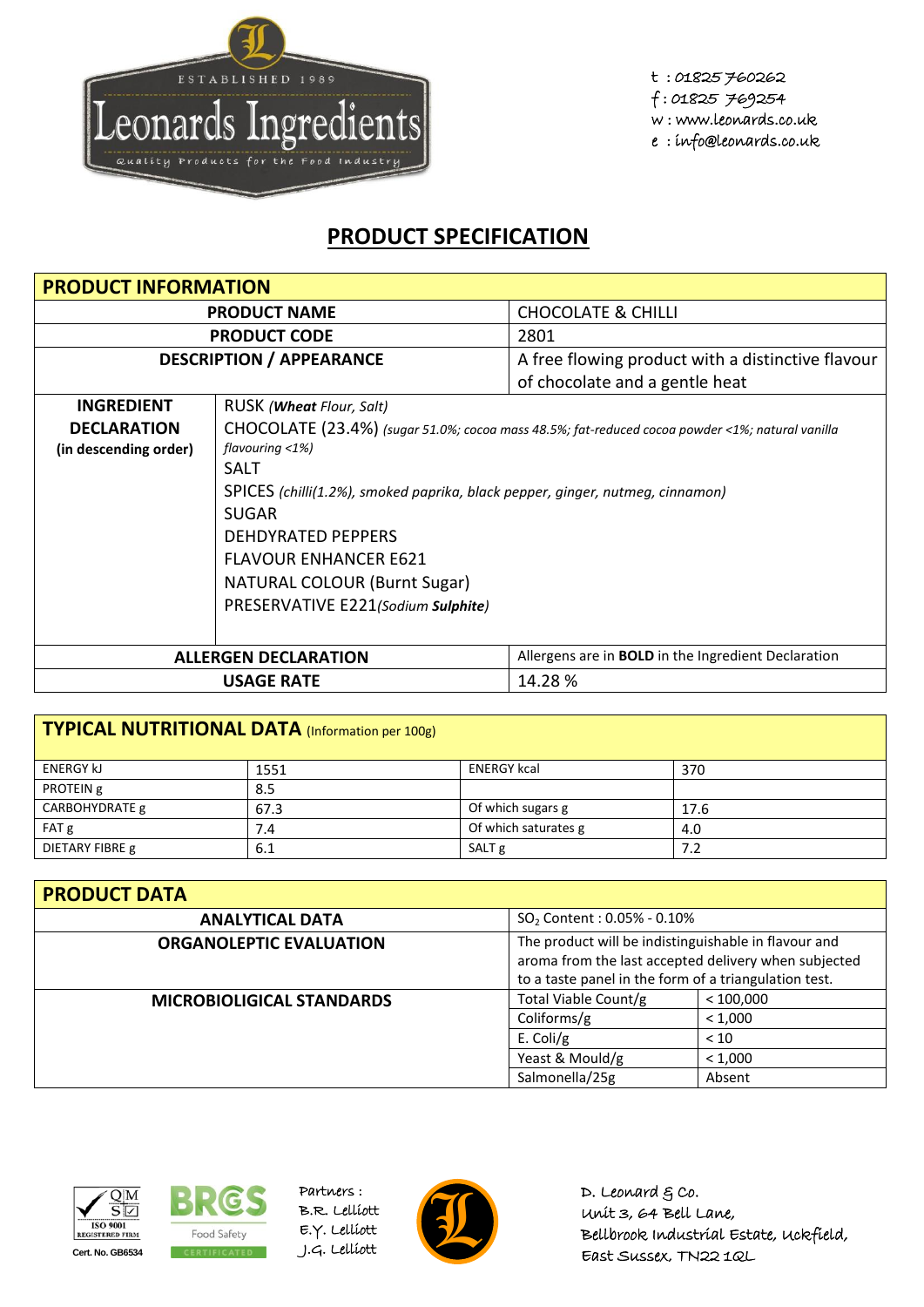

t : 01825 760262 f : 01825 769254 w : www.leonards.co.uk e : info@leonards.co.uk

## **PRODUCT SPECIFICATION**

| <b>PRODUCT INFORMATION</b>      |                                                                                                 |                                                            |  |
|---------------------------------|-------------------------------------------------------------------------------------------------|------------------------------------------------------------|--|
| <b>PRODUCT NAME</b>             |                                                                                                 | <b>CHOCOLATE &amp; CHILLI</b>                              |  |
|                                 | <b>PRODUCT CODE</b>                                                                             | 2801                                                       |  |
| <b>DESCRIPTION / APPEARANCE</b> |                                                                                                 | A free flowing product with a distinctive flavour          |  |
|                                 |                                                                                                 | of chocolate and a gentle heat                             |  |
| <b>INGREDIENT</b>               | RUSK ( <b>Wheat</b> Flour, Salt)                                                                |                                                            |  |
| <b>DECLARATION</b>              | CHOCOLATE (23.4%) (sugar 51.0%; cocoa mass 48.5%; fat-reduced cocoa powder <1%; natural vanilla |                                                            |  |
| (in descending order)           | flavouring $<$ 1%)                                                                              |                                                            |  |
|                                 | <b>SALT</b>                                                                                     |                                                            |  |
|                                 | SPICES (chilli(1.2%), smoked paprika, black pepper, ginger, nutmeg, cinnamon)                   |                                                            |  |
|                                 | <b>SUGAR</b>                                                                                    |                                                            |  |
|                                 | <b>DEHDYRATED PEPPERS</b>                                                                       |                                                            |  |
|                                 | <b>FLAVOUR ENHANCER E621</b>                                                                    |                                                            |  |
|                                 | <b>NATURAL COLOUR (Burnt Sugar)</b>                                                             |                                                            |  |
|                                 | PRESERVATIVE E221(Sodium Sulphite)                                                              |                                                            |  |
|                                 |                                                                                                 |                                                            |  |
|                                 | <b>ALLERGEN DECLARATION</b>                                                                     | Allergens are in <b>BOLD</b> in the Ingredient Declaration |  |
| 14.28 %<br><b>USAGE RATE</b>    |                                                                                                 |                                                            |  |

| TYPICAL NUTRITIONAL DATA (Information per 100g) |      |                      |      |
|-------------------------------------------------|------|----------------------|------|
| <b>ENERGY KJ</b>                                | 1551 | <b>ENERGY kcal</b>   | 370  |
| PROTEIN g                                       | 8.5  |                      |      |
| CARBOHYDRATE g                                  | 67.3 | Of which sugars g    | 17.6 |
| FAT g                                           | 7.4  | Of which saturates g | 4.0  |
| DIETARY FIBRE g                                 | 6.1  | SALT <sub>g</sub>    | 7.2  |

| <b>PRODUCT DATA</b>              |                                                                                                                                                                       |         |  |  |
|----------------------------------|-----------------------------------------------------------------------------------------------------------------------------------------------------------------------|---------|--|--|
| <b>ANALYTICAL DATA</b>           | SO <sub>2</sub> Content: 0.05% - 0.10%                                                                                                                                |         |  |  |
| <b>ORGANOLEPTIC EVALUATION</b>   | The product will be indistinguishable in flavour and<br>aroma from the last accepted delivery when subjected<br>to a taste panel in the form of a triangulation test. |         |  |  |
| <b>MICROBIOLIGICAL STANDARDS</b> | Total Viable Count/g<br>< 100,000                                                                                                                                     |         |  |  |
|                                  | Coliforms/g<br>< 1,000                                                                                                                                                |         |  |  |
|                                  | E. Coli/g                                                                                                                                                             | < 10    |  |  |
|                                  | Yeast & Mould/g                                                                                                                                                       | < 1,000 |  |  |
|                                  | Salmonella/25g                                                                                                                                                        | Absent  |  |  |





Partners : B.R. Lelliott E.Y. Lelliott



D. Leonard  $g$  co. Unit 3, 64 Bell Lane, Bellbrook Industrial Estate, Uckfield, East Sussex, TN22 1QL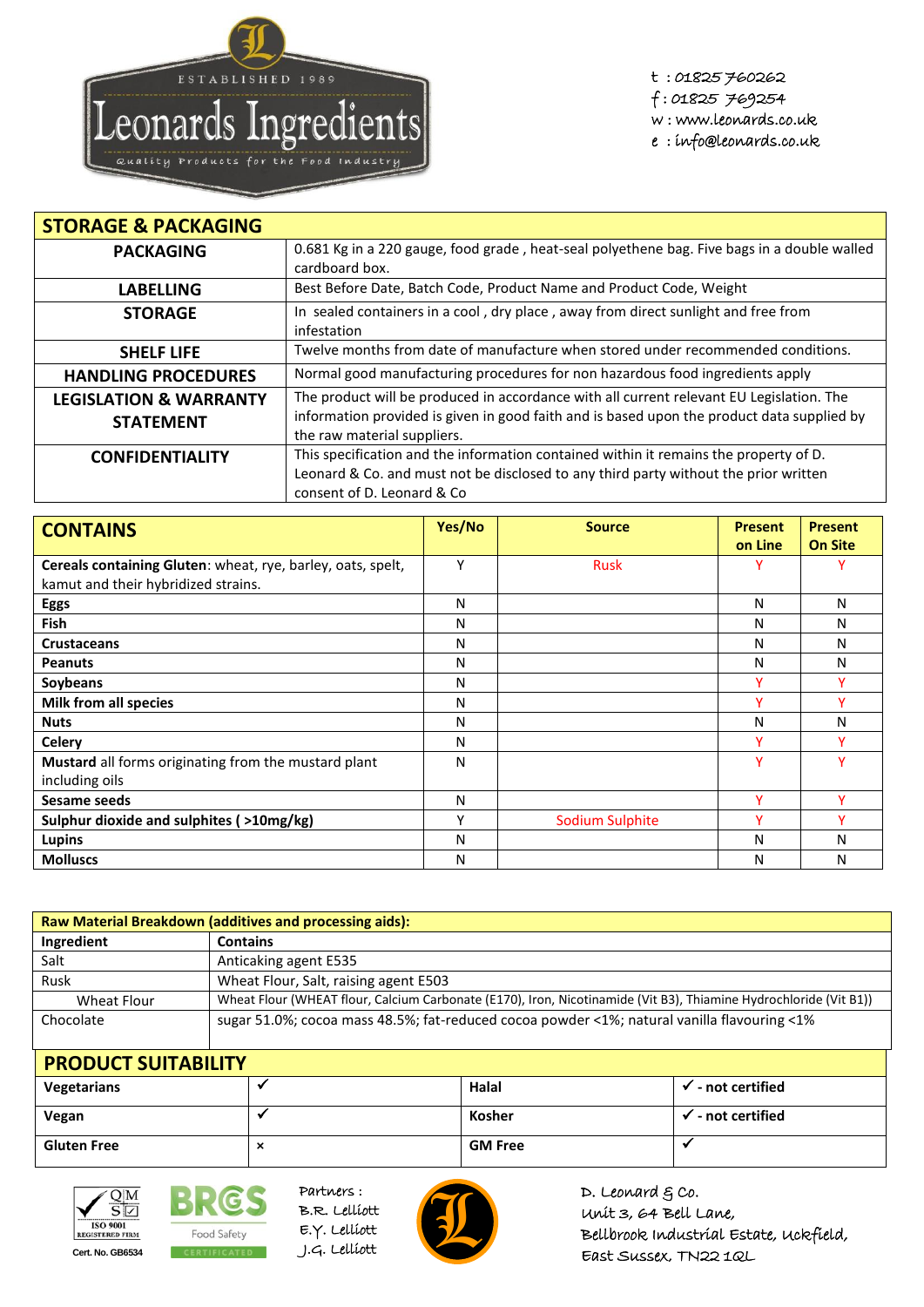

t : 01825 760262 f : 01825 769254 w : www.leonards.co.uk e : info@leonards.co.uk

| <b>STORAGE &amp; PACKAGING</b>                        |                                                                                                                                                                                                                       |
|-------------------------------------------------------|-----------------------------------------------------------------------------------------------------------------------------------------------------------------------------------------------------------------------|
| <b>PACKAGING</b>                                      | 0.681 Kg in a 220 gauge, food grade, heat-seal polyethene bag. Five bags in a double walled<br>cardboard box.                                                                                                         |
| <b>LABELLING</b>                                      | Best Before Date, Batch Code, Product Name and Product Code, Weight                                                                                                                                                   |
| <b>STORAGE</b>                                        | In sealed containers in a cool, dry place, away from direct sunlight and free from<br>infestation                                                                                                                     |
| <b>SHELF LIFE</b>                                     | Twelve months from date of manufacture when stored under recommended conditions.                                                                                                                                      |
| <b>HANDLING PROCEDURES</b>                            | Normal good manufacturing procedures for non hazardous food ingredients apply                                                                                                                                         |
| <b>LEGISLATION &amp; WARRANTY</b><br><b>STATEMENT</b> | The product will be produced in accordance with all current relevant EU Legislation. The<br>information provided is given in good faith and is based upon the product data supplied by<br>the raw material suppliers. |
| <b>CONFIDENTIALITY</b>                                | This specification and the information contained within it remains the property of D.<br>Leonard & Co. and must not be disclosed to any third party without the prior written<br>consent of D. Leonard & Co           |

| <b>CONTAINS</b>                                             | Yes/No | <b>Source</b>   | <b>Present</b> | <b>Present</b> |
|-------------------------------------------------------------|--------|-----------------|----------------|----------------|
|                                                             |        |                 | on Line        | <b>On Site</b> |
| Cereals containing Gluten: wheat, rye, barley, oats, spelt, | Y      | <b>Rusk</b>     | ν              |                |
| kamut and their hybridized strains.                         |        |                 |                |                |
| <b>Eggs</b>                                                 | N      |                 | N              | N              |
| <b>Fish</b>                                                 | Ν      |                 | Ν              | N              |
| <b>Crustaceans</b>                                          | N      |                 | N              | N              |
| <b>Peanuts</b>                                              | N      |                 | N              | N              |
| Soybeans                                                    | N      |                 | v              |                |
| Milk from all species                                       | N      |                 | v              |                |
| <b>Nuts</b>                                                 | N      |                 | N              | N              |
| <b>Celery</b>                                               | N      |                 | v              |                |
| Mustard all forms originating from the mustard plant        | N      |                 | v              |                |
| including oils                                              |        |                 |                |                |
| Sesame seeds                                                | N      |                 | v              |                |
| Sulphur dioxide and sulphites (>10mg/kg)                    | Υ      | Sodium Sulphite | ν              |                |
| Lupins                                                      | N      |                 | N              | N              |
| <b>Molluscs</b>                                             | N      |                 | Ν              | N              |

| Raw Material Breakdown (additives and processing aids): |                                                                                                                   |  |  |
|---------------------------------------------------------|-------------------------------------------------------------------------------------------------------------------|--|--|
| Ingredient                                              | <b>Contains</b>                                                                                                   |  |  |
| Salt                                                    | Anticaking agent E535                                                                                             |  |  |
| Rusk                                                    | Wheat Flour, Salt, raising agent E503                                                                             |  |  |
| Wheat Flour                                             | Wheat Flour (WHEAT flour, Calcium Carbonate (E170), Iron, Nicotinamide (Vit B3), Thiamine Hydrochloride (Vit B1)) |  |  |
| Chocolate                                               | sugar 51.0%; cocoa mass 48.5%; fat-reduced cocoa powder <1%; natural vanilla flavouring <1%                       |  |  |

| <b>PRODUCT SUITABILITY</b> |          |                |                                 |
|----------------------------|----------|----------------|---------------------------------|
| Vegetarians                |          | Halal          | - not certified<br>$\checkmark$ |
| Vegan                      |          | Kosher         | not certified * -               |
| <b>Gluten Free</b>         | $\times$ | <b>GM Free</b> |                                 |



**BRG** Food Safety **Cert. No. GB6534** CERTIFICATED J.G. Lelliott

Partners : B.R. Lelliott E.Y. Lelliott



D. Leonard  $g$  co. Unit 3, 64 Bell Lane, Bellbrook Industrial Estate, Uckfield, East Sussex, TN22 1QL